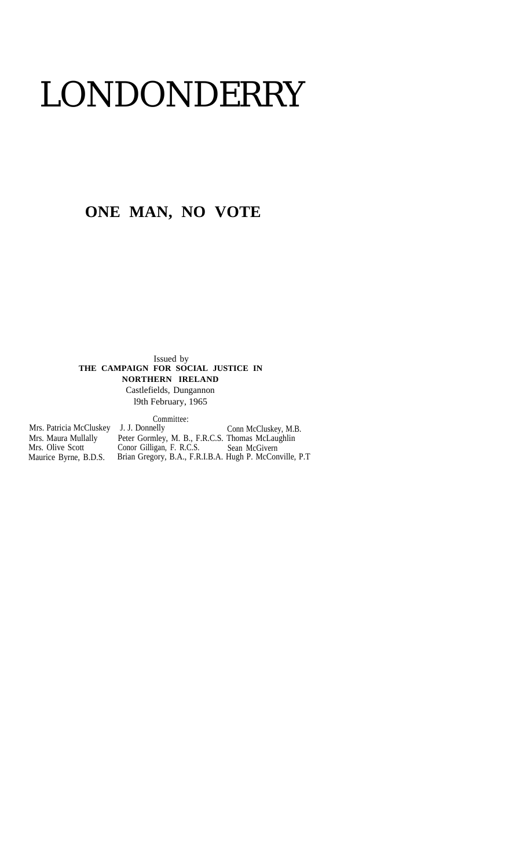# LONDONDERRY

## **ONE MAN, NO VOTE**

Issued by **THE CAMPAIGN FOR SOCIAL JUSTICE IN NORTHERN IRELAND**

Castlefields, Dungannon l9th February, 1965

Committee:

| Mrs. Patricia McCluskey J. J. Donnelly |                                                          | Conn McCluskey, M.B. |
|----------------------------------------|----------------------------------------------------------|----------------------|
| Mrs. Maura Mullally                    | Peter Gormley, M. B., F.R.C.S. Thomas McLaughlin         |                      |
| Mrs. Olive Scott                       | Conor Gilligan, F. R.C.S.                                | Sean McGivern        |
| Maurice Byrne, B.D.S.                  | Brian Gregory, B.A., F.R.I.B.A. Hugh P. McConville, P.T. |                      |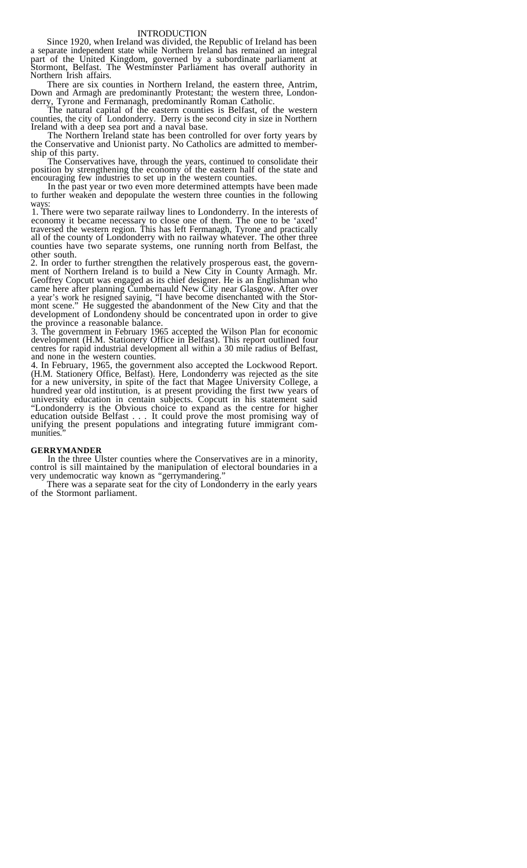#### INTRODUCTION

Since 1920, when Ireland was divided, the Republic of Ireland has been a separate independent state while Northern Ireland has remained an integral part of the United Kingdom, governed by a subordinate parliament at Stormont, Belfast. The Westminster Parliament has overall authority in Northern Irish affairs.

There are six counties in Northern Ireland, the eastern three, Antrim, Down and Armagh are predominantly Protestant; the western three, Londonderry, Tyrone and Fermanagh, predominantly Roman Catholic.

The natural capital of the eastern counties is Belfast, of the western counties, the city of Londonderry. Derry is the second city in size in Northern Ireland with a deep sea port and a naval base.

The Northern Ireland state has been controlled for over forty years by the Conservative and Unionist party. No Catholics are admitted to membership of this party.

The Conservatives have, through the years, continued to consolidate their position by strengthening the economy of the eastern half of the state and encouraging few industries to set up in the western counties.

In the past year or two even more determined attempts have been made to further weaken and depopulate the western three counties in the following ways:

1. There were two separate railway lines to Londonderry. In the interests of economy it became necessary to close one of them. The one to be 'axed' traversed the western region. This has left Fermanagh, Tyrone and practically all of the county of Londonderry with no railway whatever. The other three counties have two separate systems, one running north from Belfast, the other south.

2. In order to further strengthen the relatively prosperous east, the government of Northern Ireland is to build a New City in County Armagh. Mr. Geoffrey Copcutt was engaged as its chief designer. He is an Englishman who came here after planning Cumbernauld New City near Glasgow. After over a year's work he resigned sayinig, "I have become disenchanted with the Stormont scene." He suggested the abandonment of the New City and that the development of Londondeny should be concentrated upon in order to give the province a reasonable balance.

3. The government in February 1965 accepted the Wilson Plan for economic development (H.M. Stationery Office in Belfast). This report outlined four centres for rapid industrial development all within a 30 mile radius of Belfast, and none in the western counties.

4. In February, 1965, the government also accepted the Lockwood Report. (H.M. Stationery Office, Belfast). Here, Londonderry was rejected as the site for a new university, in spite of the fact that Magee University College, a hundred year old institution, is at present providing the first tww years of university education in centain subjects. Copcutt in his statement said "Londonderry is the Obvious choice to expand as the centre for higher education outside Belfast . . . It could prove the most promising way of unifying the present populations and integrating future immigrant communities."

#### **GERRYMANDER**

In the three Ulster counties where the Conservatives are in a minority, control is sill maintained by the manipulation of electoral boundaries in a very undemocratic way known as "gerrymandering."

There was a separate seat for the city of Londonderry in the early years of the Stormont parliament.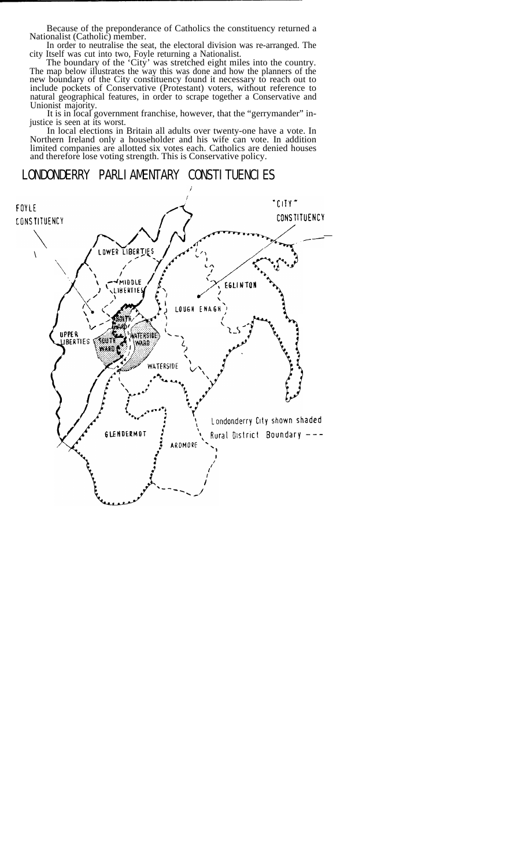Because of the preponderance of Catholics the constituency returned a Nationalist (Catholic) member.

In order to neutralise the seat, the electoral division was re-arranged. The city Itself was cut into two, Foyle returning a Nationalist.

The boundary of the 'City' was stretched eight miles into the country. The map below illustrates the way this was done and how the planners of the new boundary of the City constituency found it necessary to reach out to include pockets of Conservative (Protestant) voters, without reference to natural geographical features, in order to scrape together a Conservative and Unionist majority.

It is in local government franchise, however, that the "gerrymander" injustice is seen at its worst.

In local elections in Britain all adults over twenty-one have a vote. In Northern Ireland only a householder and his wife can vote. In addition limited companies are allotted six votes each. Catholics are denied houses and therefore lose voting strength. This is Conservative policy.

LONDONDERRY PARLIAMENTARY CONSTITUENCIES

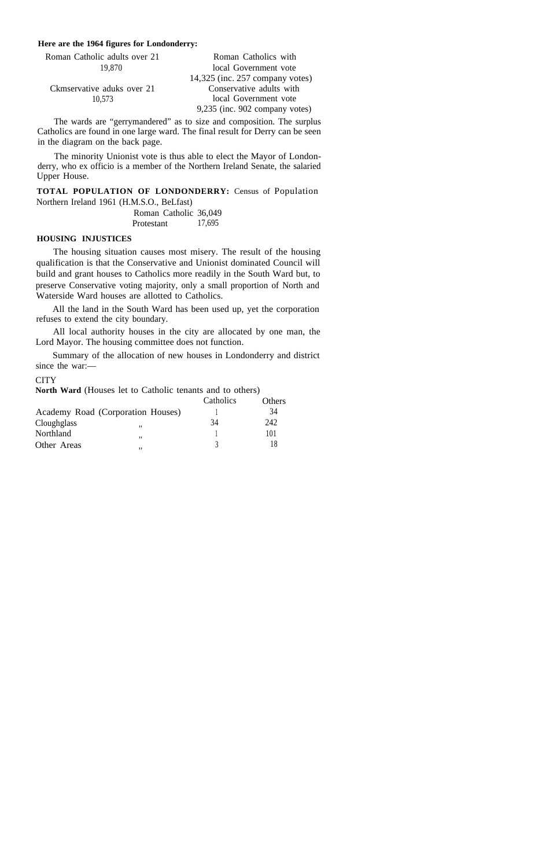#### **Here are the 1964 figures for Londonderry:**

| Roman Catholic adults over 21 | Roman Catholics with               |
|-------------------------------|------------------------------------|
| 19.870                        | local Government vote              |
|                               | $14,325$ (inc. 257 company votes)  |
| Ckmservative aduks over 21    | Conservative adults with           |
| 10.573                        | local Government vote              |
|                               | $9,235$ (inc. $902$ company votes) |

The wards are "gerrymandered" as to size and composition. The surplus Catholics are found in one large ward. The final result for Derry can be seen in the diagram on the back page.

The minority Unionist vote is thus able to elect the Mayor of Londonderry, who ex officio is a member of the Northern Ireland Senate, the salaried Upper House.

**TOTAL POPULATION OF LONDONDERRY:** Census of Population Northern Ireland 1961 (H.M.S.O., BeLfast)

> Roman Catholic 36,049<br>Protestant 17.695 Protestant

#### **HOUSING INJUSTICES**

The housing situation causes most misery. The result of the housing qualification is that the Conservative and Unionist dominated Council will build and grant houses to Catholics more readily in the South Ward but, to preserve Conservative voting majority, only a small proportion of North and Waterside Ward houses are allotted to Catholics.

All the land in the South Ward has been used up, yet the corporation refuses to extend the city boundary.

All local authority houses in the city are allocated by one man, the Lord Mayor. The housing committee does not function.

Summary of the allocation of new houses in Londonderry and district since the war:—

#### **CITY**

**North Ward** (Houses let to Catholic tenants and to others)

|                                   | Catholics | <b>Others</b> |
|-----------------------------------|-----------|---------------|
| Academy Road (Corporation Houses) |           | 34            |
| Cloughglass<br>,,                 | 34        | 242           |
| Northland<br>,,                   |           | 101           |
| Other Areas<br>,,                 |           |               |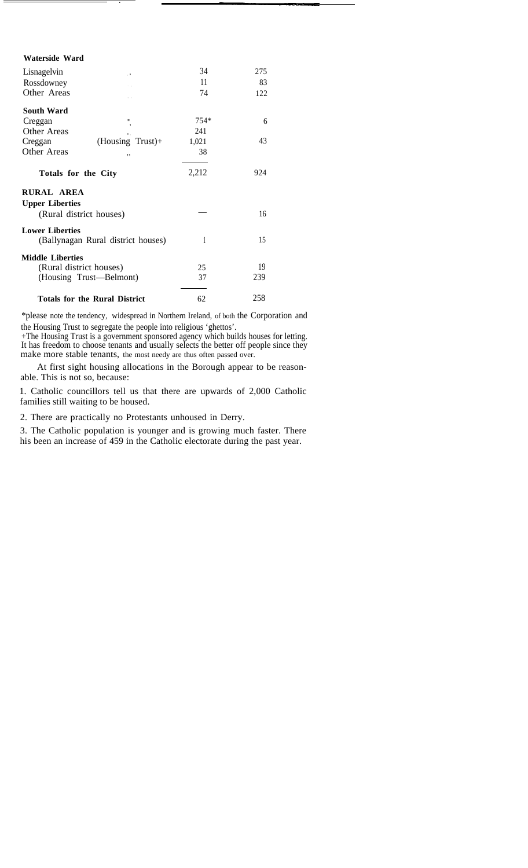| Waterside Ward                     |                                      |        |     |
|------------------------------------|--------------------------------------|--------|-----|
| Lisnagelvin<br>. 9                 |                                      | 34     | 275 |
| Rossdowney                         |                                      | 11     | 83  |
| Other Areas                        |                                      | 74     | 122 |
| South Ward                         |                                      |        |     |
| Creggan                            | Ш<br>$\overline{\phantom{a}}$        | $754*$ | 6   |
| <b>Other Areas</b>                 |                                      | 241    |     |
| Creggan                            | $(Housing Trust) +$                  | 1,021  | 43  |
| Other Areas                        | ,,                                   | 38     |     |
| Totals for the City                |                                      | 2,212  | 924 |
| RURAL AREA                         |                                      |        |     |
| <b>Upper Liberties</b>             |                                      |        |     |
| (Rural district houses)            |                                      |        | 16  |
| <b>Lower Liberties</b>             |                                      |        |     |
| (Ballynagan Rural district houses) |                                      | 1      | 15  |
| <b>Middle Liberties</b>            |                                      |        |     |
| (Rural district houses)            |                                      | 25     | 19  |
| (Housing Trust—Belmont)            |                                      | 37     | 239 |
|                                    | <b>Totals for the Rural District</b> | 62     | 258 |

\*please note the tendency, widespread in Northern Ireland, of both the Corporation and the Housing Trust to segregate the people into religious 'ghettos'.

+The Housing Trust is a government sponsored agency which builds houses for letting. It has freedom to choose tenants and usually selects the better off people since they make more stable tenants, the most needy are thus often passed over.

At first sight housing allocations in the Borough appear to be reasonable. This is not so, because:

 1. Catholic councillors tell us that there are upwards of 2,000 Catholic families still waiting to be housed.

2. There are practically no Protestants unhoused in Derry.

3. The Catholic population is younger and is growing much faster. There his been an increase of 459 in the Catholic electorate during the past year.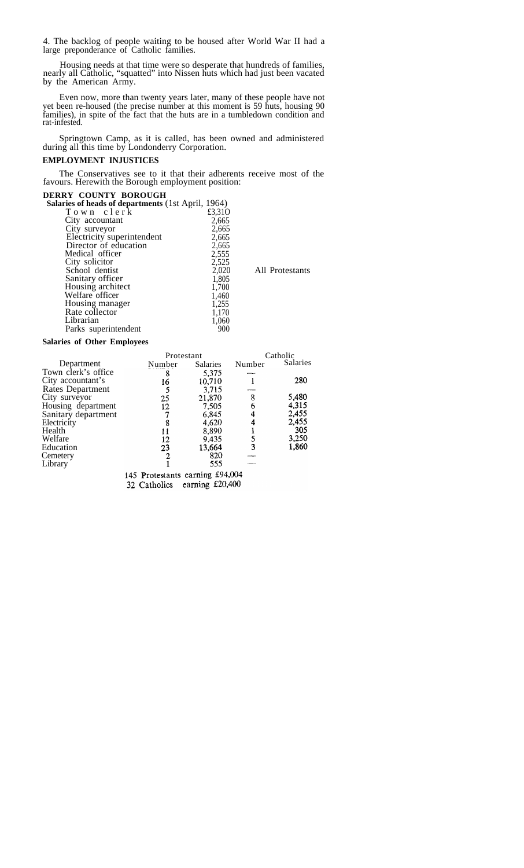4. The backlog of people waiting to be housed after World War II had a large preponderance of Catholic families.

Housing needs at that time were so desperate that hundreds of families, nearly all Catholic, "squatted" into Nissen huts which had just been vacated by the American Army.

Even now, more than twenty years later, many of these people have not yet been re-housed (the precise number at this moment is 59 huts, housing 90 families), in spite of the fact that the huts are in a tumbledown condition and rat-infested.

Springtown Camp, as it is called, has been owned and administered during all this time by Londonderry Corporation.

#### **EMPLOYMENT INJUSTICES**

The Conservatives see to it that their adherents receive most of the favours. Herewith the Borough employment position:

### **DERRY COUNTY BOROUGH**<br>Salaries of heads of denartments (

| Salaries of heads of departments (1st April, 1964)<br>Town clerk<br>£3,310 |                 |
|----------------------------------------------------------------------------|-----------------|
|                                                                            |                 |
| City accountant<br>2,665                                                   |                 |
| 2,665<br>City surveyor                                                     |                 |
| Electricity superintendent<br>2,665                                        |                 |
| Director of education<br>2,665                                             |                 |
| Medical officer<br>2,555                                                   |                 |
| City solicitor<br>2,525                                                    |                 |
| School dentist<br>2,020                                                    | All Protestants |
| Sanitary officer<br>1,805                                                  |                 |
| Housing architect<br>1,700                                                 |                 |
| Welfare officer<br>1,460                                                   |                 |
| Housing manager<br>1,255                                                   |                 |
| Rate collector<br>1,170                                                    |                 |
| Librarian<br>1,060                                                         |                 |
| Parks superintendent<br>900                                                |                 |

#### **Salaries of Other Employees**

|                     | Protestant |                 | Catholic |                 |
|---------------------|------------|-----------------|----------|-----------------|
| Department          | Number     | <b>Salaries</b> | Number   | <b>Salaries</b> |
| Town clerk's office | 8          | 5,375           |          |                 |
| City accountant's   | 16         | 10,710          |          | 280             |
| Rates Department    |            | 3,715           |          |                 |
| City surveyor       | 25         | 21,870          | 8        | 5,480           |
| Housing department  | 12         | 7.505           | 6        | 4,315           |
| Sanitary department |            | 6,845           |          | 2,455           |
| Electricity         | 8          | 4,620           |          | 2,455           |
| Health              | 11         | 8,890           |          | 305             |
| Welfare             | 12         | 9,435           |          | 3,250           |
| Education           | 23         | 13,664          | 3        | 1,860           |
| Cemetery            |            | 820             |          |                 |
| Library             |            | 555             |          |                 |

145 Protestants earning £94,004

32 Catholics earning £20,400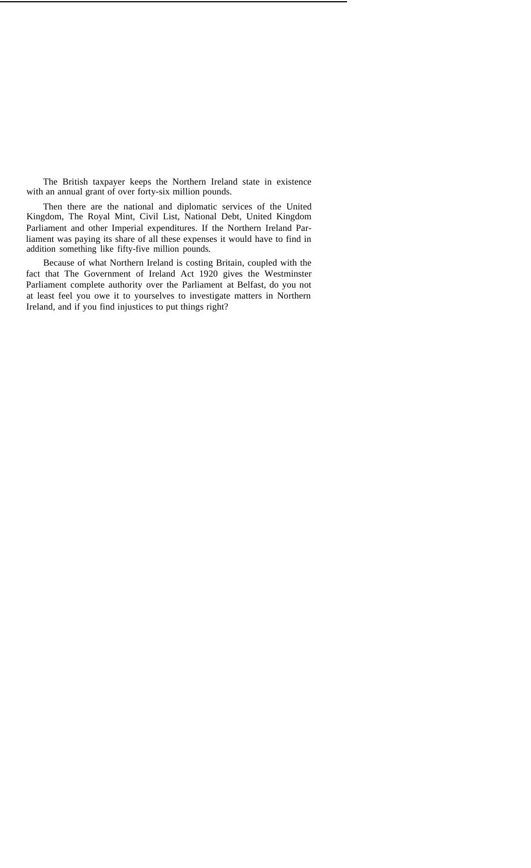The British taxpayer keeps the Northern Ireland state in existence with an annual grant of over forty-six million pounds.

Then there are the national and diplomatic services of the United Kingdom, The Royal Mint, Civil List, National Debt, United Kingdom Parliament and other Imperial expenditures. If the Northern Ireland Parliament was paying its share of all these expenses it would have to find in addition something like fifty-five million pounds.

Because of what Northern Ireland is costing Britain, coupled with the fact that The Government of Ireland Act 1920 gives the Westminster Parliament complete authority over the Parliament at Belfast, do you not at least feel you owe it to yourselves to investigate matters in Northern Ireland, and if you find injustices to put things right?